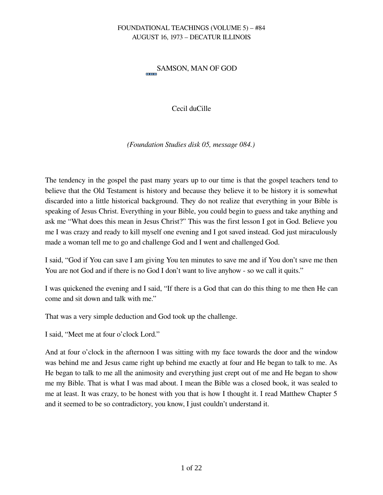# SAMSON, MAN OF GOD

Cecil duCille

*(Foundation Studies disk 05, message 084.)*

The tendency in the gospel the past many years up to our time is that the gospel teachers tend to believe that the Old Testament is history and because they believe it to be history it is somewhat discarded into a little historical background. They do not realize that everything in your Bible is speaking of Jesus Christ. Everything in your Bible, you could begin to guess and take anything and ask me "What does this mean in Jesus Christ?" This was the first lesson I got in God. Believe you me I was crazy and ready to kill myself one evening and I got saved instead. God just miraculously made a woman tell me to go and challenge God and I went and challenged God.

I said, "God if You can save I am giving You ten minutes to save me and if You don't save me then You are not God and if there is no God I don't want to live anyhow - so we call it quits."

I was quickened the evening and I said, "If there is a God that can do this thing to me then He can come and sit down and talk with me."

That was a very simple deduction and God took up the challenge.

I said, "Meet me at four o'clock Lord."

And at four o'clock in the afternoon I was sitting with my face towards the door and the window was behind me and Jesus came right up behind me exactly at four and He began to talk to me. As He began to talk to me all the animosity and everything just crept out of me and He began to show me my Bible. That is what I was mad about. I mean the Bible was a closed book, it was sealed to me at least. It was crazy, to be honest with you that is how I thought it. I read Matthew Chapter 5 and it seemed to be so contradictory, you know, I just couldn't understand it.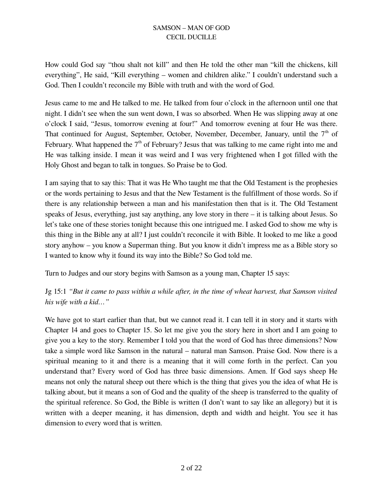How could God say "thou shalt not kill" and then He told the other man "kill the chickens, kill everything", He said, "Kill everything – women and children alike." I couldn't understand such a God. Then I couldn't reconcile my Bible with truth and with the word of God.

Jesus came to me and He talked to me. He talked from four o'clock in the afternoon until one that night. I didn't see when the sun went down, I was so absorbed. When He was slipping away at one o'clock I said, "Jesus, tomorrow evening at four!" And tomorrow evening at four He was there. That continued for August, September, October, November, December, January, until the  $7<sup>th</sup>$  of February. What happened the  $7<sup>th</sup>$  of February? Jesus that was talking to me came right into me and He was talking inside. I mean it was weird and I was very frightened when I got filled with the Holy Ghost and began to talk in tongues. So Praise be to God.

I am saying that to say this: That it was He Who taught me that the Old Testament is the prophesies or the words pertaining to Jesus and that the New Testament is the fulfillment of those words. So if there is any relationship between a man and his manifestation then that is it. The Old Testament speaks of Jesus, everything, just say anything, any love story in there – it is talking about Jesus. So let's take one of these stories tonight because this one intrigued me. I asked God to show me why is this thing in the Bible any at all? I just couldn't reconcile it with Bible. It looked to me like a good story anyhow – you know a Superman thing. But you know it didn't impress me as a Bible story so I wanted to know why it found its way into the Bible? So God told me.

Turn to Judges and our story begins with Samson as a young man, Chapter 15 says:

Jg 15:1 *"But it came to pass within a while after, in the time of wheat harvest, that Samson visited his wife with a kid…"*

We have got to start earlier than that, but we cannot read it. I can tell it in story and it starts with Chapter 14 and goes to Chapter 15. So let me give you the story here in short and I am going to give you a key to the story. Remember I told you that the word of God has three dimensions? Now take a simple word like Samson in the natural – natural man Samson. Praise God. Now there is a spiritual meaning to it and there is a meaning that it will come forth in the perfect. Can you understand that? Every word of God has three basic dimensions. Amen. If God says sheep He means not only the natural sheep out there which is the thing that gives you the idea of what He is talking about, but it means a son of God and the quality of the sheep is transferred to the quality of the spiritual reference. So God, the Bible is written (I don't want to say like an allegory) but it is written with a deeper meaning, it has dimension, depth and width and height. You see it has dimension to every word that is written.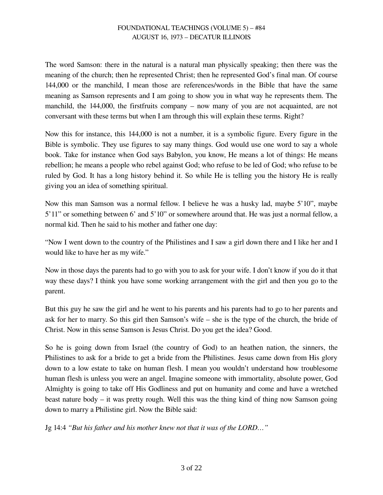The word Samson: there in the natural is a natural man physically speaking; then there was the meaning of the church; then he represented Christ; then he represented God's final man. Of course 144,000 or the manchild, I mean those are references/words in the Bible that have the same meaning as Samson represents and I am going to show you in what way he represents them. The manchild, the 144,000, the firstfruits company – now many of you are not acquainted, are not conversant with these terms but when I am through this will explain these terms. Right?

Now this for instance, this 144,000 is not a number, it is a symbolic figure. Every figure in the Bible is symbolic. They use figures to say many things. God would use one word to say a whole book. Take for instance when God says Babylon, you know, He means a lot of things: He means rebellion; he means a people who rebel against God; who refuse to be led of God; who refuse to be ruled by God. It has a long history behind it. So while He is telling you the history He is really giving you an idea of something spiritual.

Now this man Samson was a normal fellow. I believe he was a husky lad, maybe 5'10", maybe 5'11" or something between 6' and 5'10" or somewhere around that. He was just a normal fellow, a normal kid. Then he said to his mother and father one day:

"Now I went down to the country of the Philistines and I saw a girl down there and I like her and I would like to have her as my wife."

Now in those days the parents had to go with you to ask for your wife. I don't know if you do it that way these days? I think you have some working arrangement with the girl and then you go to the parent.

But this guy he saw the girl and he went to his parents and his parents had to go to her parents and ask for her to marry. So this girl then Samson's wife – she is the type of the church, the bride of Christ. Now in this sense Samson is Jesus Christ. Do you get the idea? Good.

So he is going down from Israel (the country of God) to an heathen nation, the sinners, the Philistines to ask for a bride to get a bride from the Philistines. Jesus came down from His glory down to a low estate to take on human flesh. I mean you wouldn't understand how troublesome human flesh is unless you were an angel. Imagine someone with immortality, absolute power, God Almighty is going to take off His Godliness and put on humanity and come and have a wretched beast nature body – it was pretty rough. Well this was the thing kind of thing now Samson going down to marry a Philistine girl. Now the Bible said:

Jg 14:4 *"But his father and his mother knew not that it was of the LORD…"*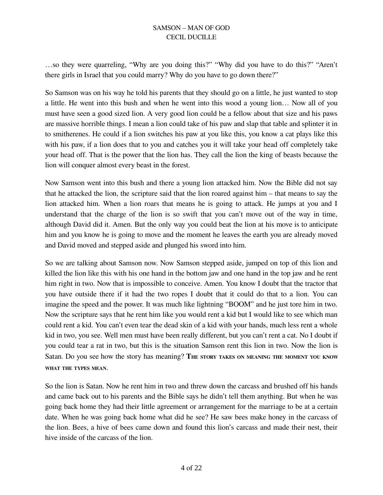…so they were quarreling, "Why are you doing this?" "Why did you have to do this?" "Aren't there girls in Israel that you could marry? Why do you have to go down there?"

So Samson was on his way he told his parents that they should go on a little, he just wanted to stop a little. He went into this bush and when he went into this wood a young lion… Now all of you must have seen a good sized lion. A very good lion could be a fellow about that size and his paws are massive horrible things. I mean a lion could take of his paw and slap that table and splinter it in to smitherenes. He could if a lion switches his paw at you like this, you know a cat plays like this with his paw, if a lion does that to you and catches you it will take your head off completely take your head off. That is the power that the lion has. They call the lion the king of beasts because the lion will conquer almost every beast in the forest.

Now Samson went into this bush and there a young lion attacked him. Now the Bible did not say that he attacked the lion, the scripture said that the lion roared against him – that means to say the lion attacked him. When a lion roars that means he is going to attack. He jumps at you and I understand that the charge of the lion is so swift that you can't move out of the way in time, although David did it. Amen. But the only way you could beat the lion at his move is to anticipate him and you know he is going to move and the moment he leaves the earth you are already moved and David moved and stepped aside and plunged his sword into him.

So we are talking about Samson now. Now Samson stepped aside, jumped on top of this lion and killed the lion like this with his one hand in the bottom jaw and one hand in the top jaw and he rent him right in two. Now that is impossible to conceive. Amen. You know I doubt that the tractor that you have outside there if it had the two ropes I doubt that it could do that to a lion. You can imagine the speed and the power. It was much like lightning "BOOM" and he just tore him in two. Now the scripture says that he rent him like you would rent a kid but I would like to see which man could rent a kid. You can't even tear the dead skin of a kid with your hands, much less rent a whole kid in two, you see. Well men must have been really different, but you can't rent a cat. No I doubt if you could tear a rat in two, but this is the situation Samson rent this lion in two. Now the lion is Satan. Do you see how the story has meaning? The story takes on meaning the moment you know WHAT THE TYPES MEAN.

So the lion is Satan. Now he rent him in two and threw down the carcass and brushed off his hands and came back out to his parents and the Bible says he didn't tell them anything. But when he was going back home they had their little agreement or arrangement for the marriage to be at a certain date. When he was going back home what did he see? He saw bees make honey in the carcass of the lion. Bees, a hive of bees came down and found this lion's carcass and made their nest, their hive inside of the carcass of the lion.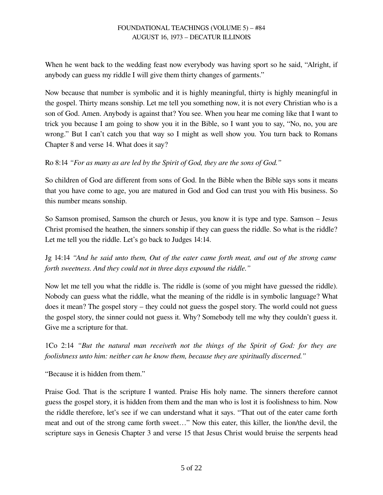When he went back to the wedding feast now everybody was having sport so he said, "Alright, if anybody can guess my riddle I will give them thirty changes of garments."

Now because that number is symbolic and it is highly meaningful, thirty is highly meaningful in the gospel. Thirty means sonship. Let me tell you something now, it is not every Christian who is a son of God. Amen. Anybody is against that? You see. When you hear me coming like that I want to trick you because I am going to show you it in the Bible, so I want you to say, "No, no, you are wrong." But I can't catch you that way so I might as well show you. You turn back to Romans Chapter 8 and verse 14. What does it say?

# Ro 8:14 *"For as many as are led by the Spirit of God, they are the sons of God."*

So children of God are different from sons of God. In the Bible when the Bible says sons it means that you have come to age, you are matured in God and God can trust you with His business. So this number means sonship.

So Samson promised, Samson the church or Jesus, you know it is type and type. Samson – Jesus Christ promised the heathen, the sinners sonship if they can guess the riddle. So what is the riddle? Let me tell you the riddle. Let's go back to Judges 14:14.

Jg 14:14 *"And he said unto them, Out of the eater came forth meat, and out of the strong came forth sweetness. And they could not in three days expound the riddle."*

Now let me tell you what the riddle is. The riddle is (some of you might have guessed the riddle). Nobody can guess what the riddle, what the meaning of the riddle is in symbolic language? What does it mean? The gospel story – they could not guess the gospel story. The world could not guess the gospel story, the sinner could not guess it. Why? Somebody tell me why they couldn't guess it. Give me a scripture for that.

1Co 2:14 *"But the natural man receiveth not the things of the Spirit of God: for they are foolishness unto him: neither can he know them, because they are spiritually discerned."*

"Because it is hidden from them."

Praise God. That is the scripture I wanted. Praise His holy name. The sinners therefore cannot guess the gospel story, it is hidden from them and the man who is lost it is foolishness to him. Now the riddle therefore, let's see if we can understand what it says. "That out of the eater came forth meat and out of the strong came forth sweet…" Now this eater, this killer, the lion/the devil, the scripture says in Genesis Chapter 3 and verse 15 that Jesus Christ would bruise the serpents head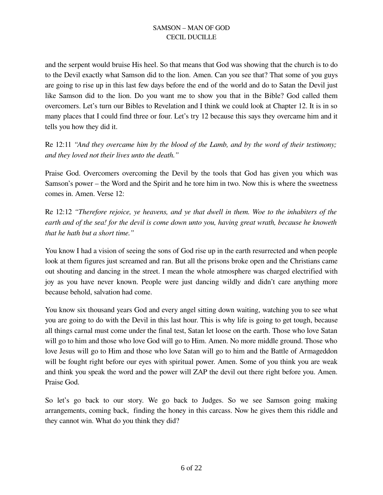and the serpent would bruise His heel. So that means that God was showing that the church is to do to the Devil exactly what Samson did to the lion. Amen. Can you see that? That some of you guys are going to rise up in this last few days before the end of the world and do to Satan the Devil just like Samson did to the lion. Do you want me to show you that in the Bible? God called them overcomers. Let's turn our Bibles to Revelation and I think we could look at Chapter 12. It is in so many places that I could find three or four. Let's try 12 because this says they overcame him and it tells you how they did it.

Re 12:11 *"And they overcame him by the blood of the Lamb, and by the word of their testimony; and they loved not their lives unto the death."*

Praise God. Overcomers overcoming the Devil by the tools that God has given you which was Samson's power – the Word and the Spirit and he tore him in two. Now this is where the sweetness comes in. Amen. Verse 12:

Re 12:12 *"Therefore rejoice, ye heavens, and ye that dwell in them. Woe to the inhabiters of the earth and of the sea! for the devil is come down unto you, having great wrath, because he knoweth that he hath but a short time."*

You know I had a vision of seeing the sons of God rise up in the earth resurrected and when people look at them figures just screamed and ran. But all the prisons broke open and the Christians came out shouting and dancing in the street. I mean the whole atmosphere was charged electrified with joy as you have never known. People were just dancing wildly and didn't care anything more because behold, salvation had come.

You know six thousand years God and every angel sitting down waiting, watching you to see what you are going to do with the Devil in this last hour. This is why life is going to get tough, because all things carnal must come under the final test, Satan let loose on the earth. Those who love Satan will go to him and those who love God will go to Him. Amen. No more middle ground. Those who love Jesus will go to Him and those who love Satan will go to him and the Battle of Armageddon will be fought right before our eyes with spiritual power. Amen. Some of you think you are weak and think you speak the word and the power will ZAP the devil out there right before you. Amen. Praise God.

So let's go back to our story. We go back to Judges. So we see Samson going making arrangements, coming back, finding the honey in this carcass. Now he gives them this riddle and they cannot win. What do you think they did?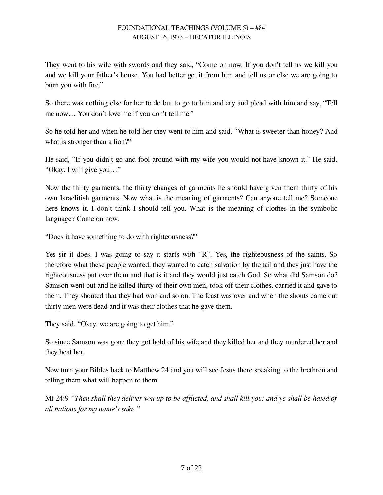They went to his wife with swords and they said, "Come on now. If you don't tell us we kill you and we kill your father's house. You had better get it from him and tell us or else we are going to burn you with fire."

So there was nothing else for her to do but to go to him and cry and plead with him and say, "Tell me now… You don't love me if you don't tell me."

So he told her and when he told her they went to him and said, "What is sweeter than honey? And what is stronger than a lion?"

He said, "If you didn't go and fool around with my wife you would not have known it." He said, "Okay. I will give you…"

Now the thirty garments, the thirty changes of garments he should have given them thirty of his own Israelitish garments. Now what is the meaning of garments? Can anyone tell me? Someone here knows it. I don't think I should tell you. What is the meaning of clothes in the symbolic language? Come on now.

"Does it have something to do with righteousness?"

Yes sir it does. I was going to say it starts with "R". Yes, the righteousness of the saints. So therefore what these people wanted, they wanted to catch salvation by the tail and they just have the righteousness put over them and that is it and they would just catch God. So what did Samson do? Samson went out and he killed thirty of their own men, took off their clothes, carried it and gave to them. They shouted that they had won and so on. The feast was over and when the shouts came out thirty men were dead and it was their clothes that he gave them.

They said, "Okay, we are going to get him."

So since Samson was gone they got hold of his wife and they killed her and they murdered her and they beat her.

Now turn your Bibles back to Matthew 24 and you will see Jesus there speaking to the brethren and telling them what will happen to them.

Mt 24:9 *"Then shall they deliver you up to be afflicted, and shall kill you: and ye shall be hated of all nations for my name's sake."*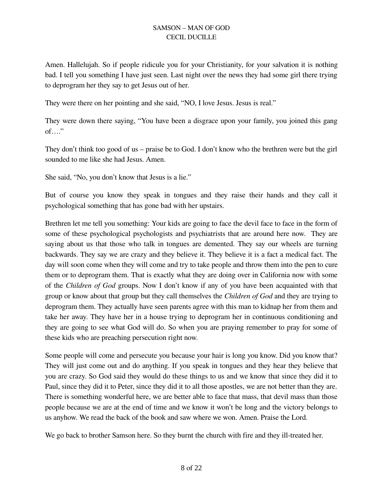Amen. Hallelujah. So if people ridicule you for your Christianity, for your salvation it is nothing bad. I tell you something I have just seen. Last night over the news they had some girl there trying to deprogram her they say to get Jesus out of her.

They were there on her pointing and she said, "NO, I love Jesus. Jesus is real."

They were down there saying, "You have been a disgrace upon your family, you joined this gang of…."

They don't think too good of us – praise be to God. I don't know who the brethren were but the girl sounded to me like she had Jesus. Amen.

She said, "No, you don't know that Jesus is a lie."

But of course you know they speak in tongues and they raise their hands and they call it psychological something that has gone bad with her upstairs.

Brethren let me tell you something: Your kids are going to face the devil face to face in the form of some of these psychological psychologists and psychiatrists that are around here now. They are saying about us that those who talk in tongues are demented. They say our wheels are turning backwards. They say we are crazy and they believe it. They believe it is a fact a medical fact. The day will soon come when they will come and try to take people and throw them into the pen to cure them or to deprogram them. That is exactly what they are doing over in California now with some of the *Children of God* groups. Now I don't know if any of you have been acquainted with that group or know about that group but they call themselves the *Children of God* and they are trying to deprogram them. They actually have seen parents agree with this man to kidnap her from them and take her away. They have her in a house trying to deprogram her in continuous conditioning and they are going to see what God will do. So when you are praying remember to pray for some of these kids who are preaching persecution right now.

Some people will come and persecute you because your hair is long you know. Did you know that? They will just come out and do anything. If you speak in tongues and they hear they believe that you are crazy. So God said they would do these things to us and we know that since they did it to Paul, since they did it to Peter, since they did it to all those apostles, we are not better than they are. There is something wonderful here, we are better able to face that mass, that devil mass than those people because we are at the end of time and we know it won't be long and the victory belongs to us anyhow. We read the back of the book and saw where we won. Amen. Praise the Lord.

We go back to brother Samson here. So they burnt the church with fire and they ill-treated her.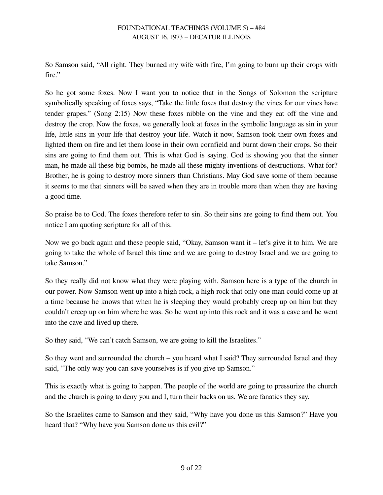So Samson said, "All right. They burned my wife with fire, I'm going to burn up their crops with fire."

So he got some foxes. Now I want you to notice that in the Songs of Solomon the scripture symbolically speaking of foxes says, "Take the little foxes that destroy the vines for our vines have tender grapes." (Song 2:15) Now these foxes nibble on the vine and they eat off the vine and destroy the crop. Now the foxes, we generally look at foxes in the symbolic language as sin in your life, little sins in your life that destroy your life. Watch it now, Samson took their own foxes and lighted them on fire and let them loose in their own cornfield and burnt down their crops. So their sins are going to find them out. This is what God is saying. God is showing you that the sinner man, he made all these big bombs, he made all these mighty inventions of destructions. What for? Brother, he is going to destroy more sinners than Christians. May God save some of them because it seems to me that sinners will be saved when they are in trouble more than when they are having a good time.

So praise be to God. The foxes therefore refer to sin. So their sins are going to find them out. You notice I am quoting scripture for all of this.

Now we go back again and these people said, "Okay, Samson want it – let's give it to him. We are going to take the whole of Israel this time and we are going to destroy Israel and we are going to take Samson."

So they really did not know what they were playing with. Samson here is a type of the church in our power. Now Samson went up into a high rock, a high rock that only one man could come up at a time because he knows that when he is sleeping they would probably creep up on him but they couldn't creep up on him where he was. So he went up into this rock and it was a cave and he went into the cave and lived up there.

So they said, "We can't catch Samson, we are going to kill the Israelites."

So they went and surrounded the church – you heard what I said? They surrounded Israel and they said, "The only way you can save yourselves is if you give up Samson."

This is exactly what is going to happen. The people of the world are going to pressurize the church and the church is going to deny you and I, turn their backs on us. We are fanatics they say.

So the Israelites came to Samson and they said, "Why have you done us this Samson?" Have you heard that? "Why have you Samson done us this evil?"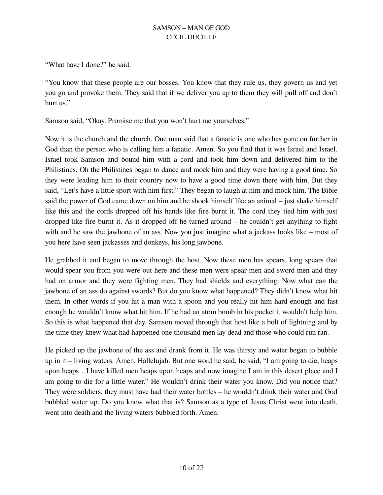"What have I done?" he said.

"You know that these people are our bosses. You know that they rule us, they govern us and yet you go and provoke them. They said that if we deliver you up to them they will pull off and don't hurt us."

Samson said, "Okay. Promise me that you won't hurt me yourselves."

Now it is the church and the church. One man said that a fanatic is one who has gone on further in God than the person who is calling him a fanatic. Amen. So you find that it was Israel and Israel. Israel took Samson and bound him with a cord and took him down and delivered him to the Philistines. Oh the Philistines began to dance and mock him and they were having a good time. So they were leading him to their country now to have a good time down there with him. But they said, "Let's have a little sport with him first." They began to laugh at him and mock him. The Bible said the power of God came down on him and he shook himself like an animal – just shake himself like this and the cords dropped off his hands like fire burnt it. The cord they tied him with just dropped like fire burnt it. As it dropped off he turned around – he couldn't get anything to fight with and he saw the jawbone of an ass. Now you just imagine what a jackass looks like – most of you here have seen jackasses and donkeys, his long jawbone.

He grabbed it and began to move through the host. Now these men has spears, long spears that would spear you from you were out here and these men were spear men and sword men and they had on armor and they were fighting men. They had shields and everything. Now what can the jawbone of an ass do against swords? But do you know what happened? They didn't know what hit them. In other words if you hit a man with a spoon and you really hit him hard enough and fast enough he wouldn't know what hit him. If he had an atom bomb in his pocket it wouldn't help him. So this is what happened that day. Samson moved through that host like a bolt of lightning and by the time they knew what had happened one thousand men lay dead and those who could run ran.

He picked up the jawbone of the ass and drank from it. He was thirsty and water began to bubble up in it – living waters. Amen. Hallelujah. But one word he said, he said, "I am going to die, heaps upon heaps…I have killed men heaps upon heaps and now imagine I am in this desert place and I am going to die for a little water." He wouldn't drink their water you know. Did you notice that? They were soldiers, they must have had their water bottles – he wouldn't drink their water and God bubbled water up. Do you know what that is? Samson as a type of Jesus Christ went into death, went into death and the living waters bubbled forth. Amen.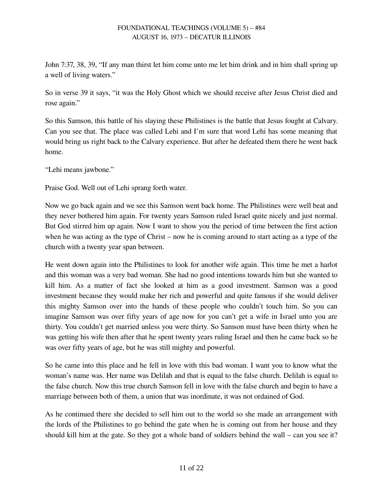John 7:37, 38, 39, "If any man thirst let him come unto me let him drink and in him shall spring up a well of living waters."

So in verse 39 it says, "it was the Holy Ghost which we should receive after Jesus Christ died and rose again."

So this Samson, this battle of his slaying these Philistines is the battle that Jesus fought at Calvary. Can you see that. The place was called Lehi and I'm sure that word Lehi has some meaning that would bring us right back to the Calvary experience. But after he defeated them there he went back home.

"Lehi means jawbone."

Praise God. Well out of Lehi sprang forth water.

Now we go back again and we see this Samson went back home. The Philistines were well beat and they never bothered him again. For twenty years Samson ruled Israel quite nicely and just normal. But God stirred him up again. Now I want to show you the period of time between the first action when he was acting as the type of Christ – now he is coming around to start acting as a type of the church with a twenty year span between.

He went down again into the Philistines to look for another wife again. This time he met a harlot and this woman was a very bad woman. She had no good intentions towards him but she wanted to kill him. As a matter of fact she looked at him as a good investment. Samson was a good investment because they would make her rich and powerful and quite famous if she would deliver this mighty Samson over into the hands of these people who couldn't touch him. So you can imagine Samson was over fifty years of age now for you can't get a wife in Israel unto you are thirty. You couldn't get married unless you were thirty. So Samson must have been thirty when he was getting his wife then after that he spent twenty years ruling Israel and then he came back so he was over fifty years of age, but he was still mighty and powerful.

So he came into this place and he fell in love with this bad woman. I want you to know what the woman's name was. Her name was Delilah and that is equal to the false church. Delilah is equal to the false church. Now this true church Samson fell in love with the false church and begin to have a marriage between both of them, a union that was inordinate, it was not ordained of God.

As he continued there she decided to sell him out to the world so she made an arrangement with the lords of the Philistines to go behind the gate when he is coming out from her house and they should kill him at the gate. So they got a whole band of soldiers behind the wall – can you see it?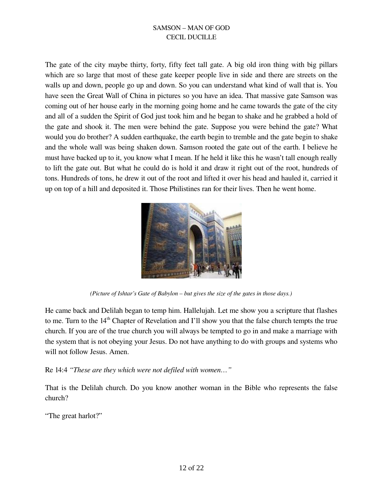The gate of the city maybe thirty, forty, fifty feet tall gate. A big old iron thing with big pillars which are so large that most of these gate keeper people live in side and there are streets on the walls up and down, people go up and down. So you can understand what kind of wall that is. You have seen the Great Wall of China in pictures so you have an idea. That massive gate Samson was coming out of her house early in the morning going home and he came towards the gate of the city and all of a sudden the Spirit of God just took him and he began to shake and he grabbed a hold of the gate and shook it. The men were behind the gate. Suppose you were behind the gate? What would you do brother? A sudden earthquake, the earth begin to tremble and the gate begin to shake and the whole wall was being shaken down. Samson rooted the gate out of the earth. I believe he must have backed up to it, you know what I mean. If he held it like this he wasn't tall enough really to lift the gate out. But what he could do is hold it and draw it right out of the root, hundreds of tons. Hundreds of tons, he drew it out of the root and lifted it over his head and hauled it, carried it up on top of a hill and deposited it. Those Philistines ran for their lives. Then he went home.



*(Picture of Ishtar's Gate of Babylon – but gives the size of the gates in those days.)*

He came back and Delilah began to temp him. Hallelujah. Let me show you a scripture that flashes to me. Turn to the 14<sup>th</sup> Chapter of Revelation and I'll show you that the false church tempts the true church. If you are of the true church you will always be tempted to go in and make a marriage with the system that is not obeying your Jesus. Do not have anything to do with groups and systems who will not follow Jesus. Amen.

Re 14:4 *"These are they which were not defiled with women…"*

That is the Delilah church. Do you know another woman in the Bible who represents the false church?

"The great harlot?"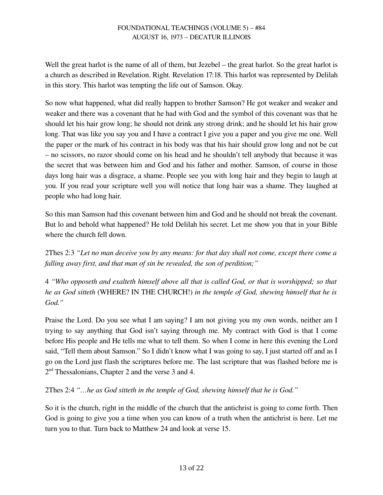Well the great harlot is the name of all of them, but Jezebel – the great harlot. So the great harlot is a church as described in Revelation. Right. Revelation 17:18. This harlot was represented by Delilah in this story. This harlot was tempting the life out of Samson. Okay.

So now what happened, what did really happen to brother Samson? He got weaker and weaker and weaker and there was a covenant that he had with God and the symbol of this covenant was that he should let his hair grow long; he should not drink any strong drink; and he should let his hair grow long. That was like you say you and I have a contract I give you a paper and you give me one. Well the paper or the mark of his contract in his body was that his hair should grow long and not be cut – no scissors, no razor should come on his head and he shouldn't tell anybody that because it was the secret that was between him and God and his father and mother. Samson, of course in those days long hair was a disgrace, a shame. People see you with long hair and they begin to laugh at you. If you read your scripture well you will notice that long hair was a shame. They laughed at people who had long hair.

So this man Samson had this covenant between him and God and he should not break the covenant. But lo and behold what happened? He told Delilah his secret. Let me show you that in your Bible where the church fell down.

2Thes 2:3 *"Let no man deceive you by any means: for that day shall not come, except there come a falling away first, and that man of sin be revealed, the son of perdition;"*

4 *"Who opposeth and exalteth himself above all that is called God, or that is worshipped; so that he as God sitteth* (WHERE? IN THE CHURCH!) *in the temple of God, shewing himself that he is God."*

Praise the Lord. Do you see what I am saying? I am not giving you my own words, neither am I trying to say anything that God isn't saying through me. My contract with God is that I come before His people and He tells me what to tell them. So when I come in here this evening the Lord said, "Tell them about Samson." So I didn't know what I was going to say, I just started off and as I go on the Lord just flash the scriptures before me. The last scripture that was flashed before me is 2<sup>nd</sup> Thessalonians, Chapter 2 and the verse 3 and 4.

2Thes 2:4 *"…he as God sitteth in the temple of God, shewing himself that he is God."*

So it is the church, right in the middle of the church that the antichrist is going to come forth. Then God is going to give you a time when you can know of a truth when the antichrist is here. Let me turn you to that. Turn back to Matthew 24 and look at verse 15.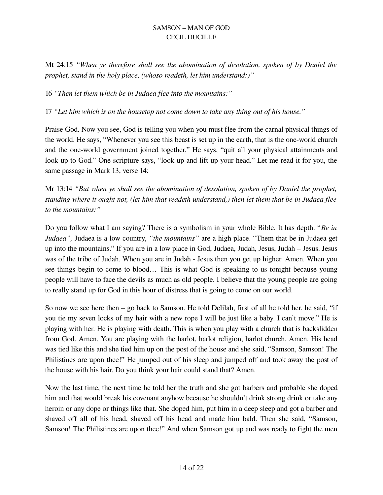Mt 24:15 *"When ye therefore shall see the abomination of desolation, spoken of by Daniel the prophet, stand in the holy place, (whoso readeth, let him understand:)"*

16 *"Then let them which be in Judaea flee into the mountains:"*

17 *"Let him which is on the housetop not come down to take any thing out of his house."*

Praise God. Now you see, God is telling you when you must flee from the carnal physical things of the world. He says, "Whenever you see this beast is set up in the earth, that is the one-world church and the one-world government joined together," He says, "quit all your physical attainments and look up to God." One scripture says, "look up and lift up your head." Let me read it for you, the same passage in Mark 13, verse 14:

Mr 13:14 *"But when ye shall see the abomination of desolation, spoken of by Daniel the prophet, standing where it ought not, (let him that readeth understand,) then let them that be in Judaea flee to the mountains:"*

Do you follow what I am saying? There is a symbolism in your whole Bible. It has depth. "*Be in Judaea",* Judaea is a low country, *"the mountains"* are a high place. "Them that be in Judaea get up into the mountains." If you are in a low place in God, Judaea, Judah, Jesus, Judah – Jesus. Jesus was of the tribe of Judah. When you are in Judah - Jesus then you get up higher. Amen. When you see things begin to come to blood… This is what God is speaking to us tonight because young people will have to face the devils as much as old people. I believe that the young people are going to really stand up for God in this hour of distress that is going to come on our world.

So now we see here then – go back to Samson. He told Delilah, first of all he told her, he said, "if you tie my seven locks of my hair with a new rope I will be just like a baby. I can't move." He is playing with her. He is playing with death. This is when you play with a church that is backslidden from God. Amen. You are playing with the harlot, harlot religion, harlot church. Amen. His head was tied like this and she tied him up on the post of the house and she said, "Samson, Samson! The Philistines are upon thee!" He jumped out of his sleep and jumped off and took away the post of the house with his hair. Do you think your hair could stand that? Amen.

Now the last time, the next time he told her the truth and she got barbers and probable she doped him and that would break his covenant anyhow because he shouldn't drink strong drink or take any heroin or any dope or things like that. She doped him, put him in a deep sleep and got a barber and shaved off all of his head, shaved off his head and made him bald. Then she said, "Samson, Samson! The Philistines are upon thee!" And when Samson got up and was ready to fight the men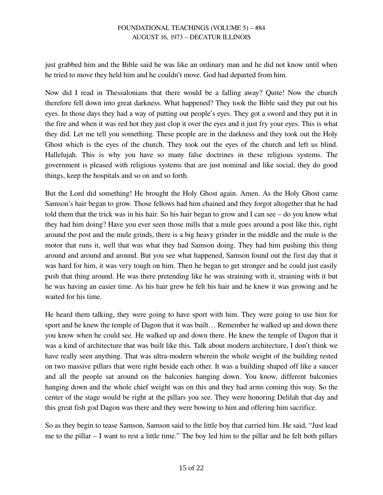just grabbed him and the Bible said he was like an ordinary man and he did not know until when he tried to move they held him and he couldn't move. God had departed from him.

Now did I read in Thessalonians that there would be a falling away? Quite! Now the church therefore fell down into great darkness. What happened? They took the Bible said they put out his eyes. In those days they had a way of putting out people's eyes. They got a sword and they put it in the fire and when it was red hot they just clop it over the eyes and it just fry your eyes. This is what they did. Let me tell you something. These people are in the darkness and they took out the Holy Ghost which is the eyes of the church. They took out the eyes of the church and left us blind. Hallelujah. This is why you have so many false doctrines in these religious systems. The government is pleased with religious systems that are just nominal and like social, they do good things, keep the hospitals and so on and so forth.

But the Lord did something! He brought the Holy Ghost again. Amen. As the Holy Ghost came Samson's hair began to grow. Those fellows had him chained and they forgot altogether that he had told them that the trick was in his hair. So his hair began to grow and I can see – do you know what they had him doing? Have you ever seen those mills that a mule goes around a post like this, right around the post and the mule grinds, there is a big heavy grinder in the middle and the mule is the motor that runs it, well that was what they had Samson doing. They had him pushing this thing around and around and around. But you see what happened, Samson found out the first day that it was hard for him, it was very tough on him. Then he began to get stronger and he could just easily push that thing around. He was there pretending like he was straining with it, straining with it but he was having an easier time. As his hair grew he felt his hair and he knew it was growing and he waited for his time.

He heard them talking, they were going to have sport with him. They were going to use him for sport and he knew the temple of Dagon that it was built… Remember he walked up and down there you know when he could see. He walked up and down there. He knew the temple of Dagon that it was a kind of architecture that was built like this. Talk about modern architecture, I don't think we have really seen anything. That was ultra-modern wherein the whole weight of the building rested on two massive pillars that were right beside each other. It was a building shaped off like a saucer and all the people sat around on the balconies hanging down. You know, different balconies hanging down and the whole chief weight was on this and they had arms coming this way. So the center of the stage would be right at the pillars you see. They were honoring Delilah that day and this great fish god Dagon was there and they were bowing to him and offering him sacrifice.

So as they begin to tease Samson, Samson said to the little boy that carried him. He said, "Just lead me to the pillar – I want to rest a little time." The boy led him to the pillar and he felt both pillars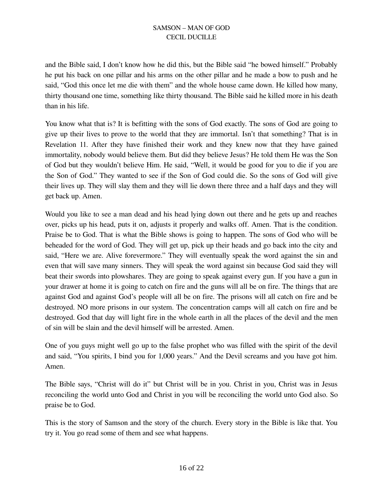and the Bible said, I don't know how he did this, but the Bible said "he bowed himself." Probably he put his back on one pillar and his arms on the other pillar and he made a bow to push and he said, "God this once let me die with them" and the whole house came down. He killed how many, thirty thousand one time, something like thirty thousand. The Bible said he killed more in his death than in his life.

You know what that is? It is befitting with the sons of God exactly. The sons of God are going to give up their lives to prove to the world that they are immortal. Isn't that something? That is in Revelation 11. After they have finished their work and they knew now that they have gained immortality, nobody would believe them. But did they believe Jesus? He told them He was the Son of God but they wouldn't believe Him. He said, "Well, it would be good for you to die if you are the Son of God." They wanted to see if the Son of God could die. So the sons of God will give their lives up. They will slay them and they will lie down there three and a half days and they will get back up. Amen.

Would you like to see a man dead and his head lying down out there and he gets up and reaches over, picks up his head, puts it on, adjusts it properly and walks off. Amen. That is the condition. Praise be to God. That is what the Bible shows is going to happen. The sons of God who will be beheaded for the word of God. They will get up, pick up their heads and go back into the city and said, "Here we are. Alive forevermore." They will eventually speak the word against the sin and even that will save many sinners. They will speak the word against sin because God said they will beat their swords into plowshares. They are going to speak against every gun. If you have a gun in your drawer at home it is going to catch on fire and the guns will all be on fire. The things that are against God and against God's people will all be on fire. The prisons will all catch on fire and be destroyed. NO more prisons in our system. The concentration camps will all catch on fire and be destroyed. God that day will light fire in the whole earth in all the places of the devil and the men of sin will be slain and the devil himself will be arrested. Amen.

One of you guys might well go up to the false prophet who was filled with the spirit of the devil and said, "You spirits, I bind you for 1,000 years." And the Devil screams and you have got him. Amen.

The Bible says, "Christ will do it" but Christ will be in you. Christ in you, Christ was in Jesus reconciling the world unto God and Christ in you will be reconciling the world unto God also. So praise be to God.

This is the story of Samson and the story of the church. Every story in the Bible is like that. You try it. You go read some of them and see what happens.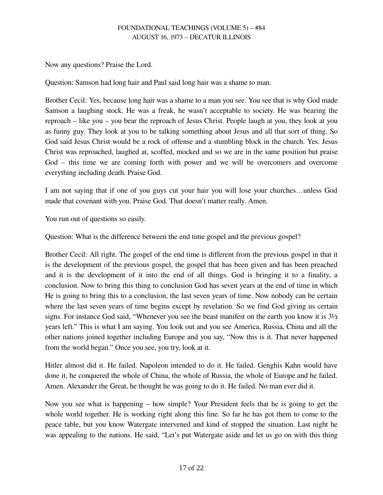Now any questions? Praise the Lord.

Question: Samson had long hair and Paul said long hair was a shame to man.

Brother Cecil: Yes, because long hair was a shame to a man you see. You see that is why God made Samson a laughing stock. He was a freak, he wasn't acceptable to society. He was bearing the reproach – like you – you bear the reproach of Jesus Christ. People laugh at you, they look at you as funny guy. They look at you to be talking something about Jesus and all that sort of thing. So God said Jesus Christ would be a rock of offense and a stumbling block in the church. Yes. Jesus Christ was reproached, laughed at, scoffed, mocked and so we are in the same position but praise God – this time we are coming forth with power and we will be overcomers and overcome everything including death. Praise God.

I am not saying that if one of you guys cut your hair you will lose your churches…unless God made that covenant with you. Praise God. That doesn't matter really. Amen.

You run out of questions so easily.

Question: What is the difference between the end time gospel and the previous gospel?

Brother Cecil: All right. The gospel of the end time is different from the previous gospel in that it is the development of the previous gospel, the gospel that has been given and has been preached and it is the development of it into the end of all things. God is bringing it to a finality, a conclusion. Now to bring this thing to conclusion God has seven years at the end of time in which He is going to bring this to a conclusion, the last seven years of time. Now nobody can be certain where the last seven years of time begins except by revelation. So we find God giving us certain signs. For instance God said, "Whenever you see the beast manifest on the earth you know it is 3½ years left." This is what I am saying. You look out and you see America, Russia, China and all the other nations joined together including Europe and you say, "Now this is it. That never happened from the world began." Once you see, you try, look at it.

Hitler almost did it. He failed. Napoleon intended to do it. He failed. Genghis Kahn would have done it, he conquered the whole of China, the whole of Russia, the whole of Europe and he failed. Amen. Alexander the Great, he thought he was going to do it. He failed. No man ever did it.

Now you see what is happening – how simple? Your President feels that he is going to get the whole world together. He is working right along this line. So far he has got them to come to the peace table, but you know Watergate intervened and kind of stopped the situation. Last night he was appealing to the nations. He said, "Let's put Watergate aside and let us go on with this thing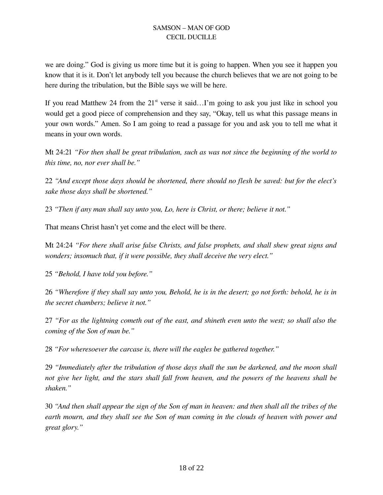we are doing." God is giving us more time but it is going to happen. When you see it happen you know that it is it. Don't let anybody tell you because the church believes that we are not going to be here during the tribulation, but the Bible says we will be here.

If you read Matthew 24 from the  $21<sup>st</sup>$  verse it said...I'm going to ask you just like in school you would get a good piece of comprehension and they say, "Okay, tell us what this passage means in your own words." Amen. So I am going to read a passage for you and ask you to tell me what it means in your own words.

Mt 24:21 *"For then shall be great tribulation, such as was not since the beginning of the world to this time, no, nor ever shall be."*

22 *"And except those days should be shortened, there should no flesh be saved: but for the elect's sake those days shall be shortened."*

23 *"Then if any man shall say unto you, Lo, here is Christ, or there; believe it not."*

That means Christ hasn't yet come and the elect will be there.

Mt 24:24 *"For there shall arise false Christs, and false prophets, and shall shew great signs and wonders; insomuch that, if it were possible, they shall deceive the very elect."*

25 *"Behold, I have told you before."*

26 *"Wherefore if they shall say unto you, Behold, he is in the desert; go not forth: behold, he is in the secret chambers; believe it not."*

27 *"For as the lightning cometh out of the east, and shineth even unto the west; so shall also the coming of the Son of man be."*

28 *"For wheresoever the carcase is, there will the eagles be gathered together."*

29 *"Immediately after the tribulation of those days shall the sun be darkened, and the moon shall not give her light, and the stars shall fall from heaven, and the powers of the heavens shall be shaken."*

30 *"And then shall appear the sign of the Son of man in heaven: and then shall all the tribes of the earth mourn, and they shall see the Son of man coming in the clouds of heaven with power and great glory."*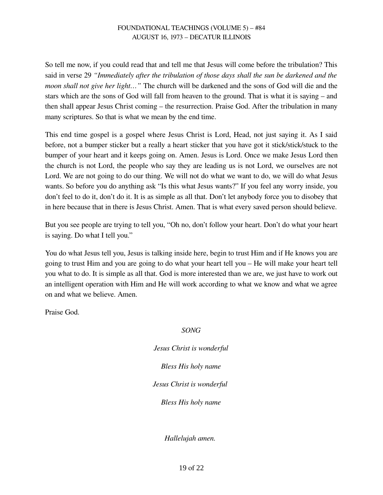So tell me now, if you could read that and tell me that Jesus will come before the tribulation? This said in verse 29 *"Immediately after the tribulation of those days shall the sun be darkened and the moon shall not give her light…"* The church will be darkened and the sons of God will die and the stars which are the sons of God will fall from heaven to the ground. That is what it is saying – and then shall appear Jesus Christ coming – the resurrection. Praise God. After the tribulation in many many scriptures. So that is what we mean by the end time.

This end time gospel is a gospel where Jesus Christ is Lord, Head, not just saying it. As I said before, not a bumper sticker but a really a heart sticker that you have got it stick/stick/stuck to the bumper of your heart and it keeps going on. Amen. Jesus is Lord. Once we make Jesus Lord then the church is not Lord, the people who say they are leading us is not Lord, we ourselves are not Lord. We are not going to do our thing. We will not do what we want to do, we will do what Jesus wants. So before you do anything ask "Is this what Jesus wants?" If you feel any worry inside, you don't feel to do it, don't do it. It is as simple as all that. Don't let anybody force you to disobey that in here because that in there is Jesus Christ. Amen. That is what every saved person should believe.

But you see people are trying to tell you, "Oh no, don't follow your heart. Don't do what your heart is saying. Do what I tell you."

You do what Jesus tell you, Jesus is talking inside here, begin to trust Him and if He knows you are going to trust Him and you are going to do what your heart tell you – He will make your heart tell you what to do. It is simple as all that. God is more interested than we are, we just have to work out an intelligent operation with Him and He will work according to what we know and what we agree on and what we believe. Amen.

Praise God.

*SONG*

*Jesus Christ is wonderful Bless His holy name Jesus Christ is wonderful Bless His holy name*

*Hallelujah amen.*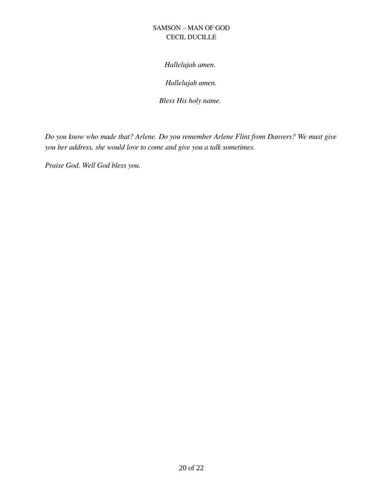*Hallelujah amen.* 

*Hallelujah amen.*

*Bless His holy name.* 

*Do you know who made that? Arlene. Do you remember Arlene Flint from Danvers? We must give you her address, she would love to come and give you a talk sometimes.* 

*Praise God. Well God bless you.*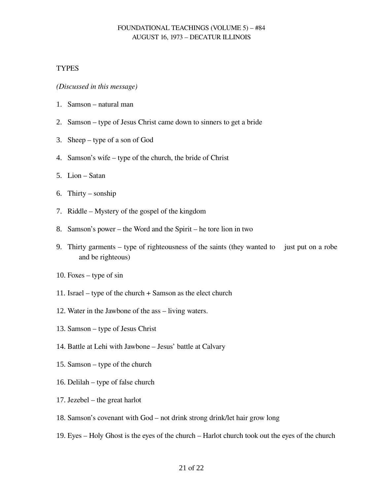#### **TYPES**

*(Discussed in this message)*

- 1. Samson natural man
- 2. Samson type of Jesus Christ came down to sinners to get a bride
- 3. Sheep type of a son of God
- 4. Samson's wife type of the church, the bride of Christ
- 5. Lion Satan
- 6. Thirty sonship
- 7. Riddle Mystery of the gospel of the kingdom
- 8. Samson's power the Word and the Spirit he tore lion in two
- 9. Thirty garments type of righteousness of the saints (they wanted to just put on a robe and be righteous)
- 10. Foxes type of sin
- 11. Israel type of the church + Samson as the elect church
- 12. Water in the Jawbone of the ass living waters.
- 13. Samson type of Jesus Christ
- 14. Battle at Lehi with Jawbone Jesus' battle at Calvary
- 15. Samson type of the church
- 16. Delilah type of false church
- 17. Jezebel the great harlot
- 18. Samson's covenant with God not drink strong drink/let hair grow long
- 19. Eyes Holy Ghost is the eyes of the church Harlot church took out the eyes of the church